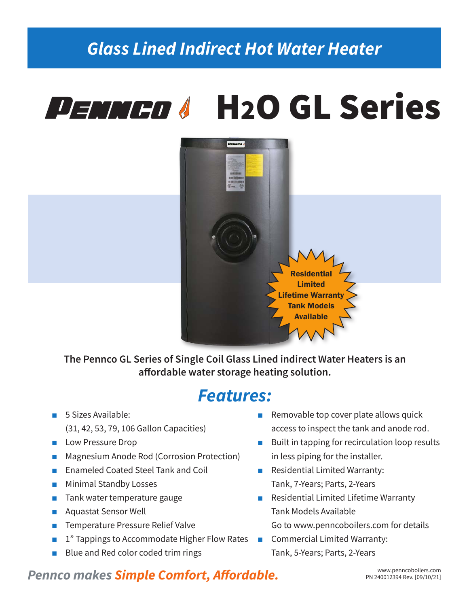## *Glass Lined Indirect Hot Water Heater*

# PENNED & H2O GL Series



**The Pennco GL Series of Single Coil Glass Lined indirect Water Heaters is an affordable water storage heating solution.**

## *Features:*

- 5 Sizes Available: (31, 42, 53, 79, 106 Gallon Capacities)
- Low Pressure Drop
- **Magnesium Anode Rod (Corrosion Protection)**
- Enameled Coated Steel Tank and Coil
- Minimal Standby Losses
- Tank water temperature gauge
- Aquastat Sensor Well
- Temperature Pressure Relief Valve
- 1" Tappings to Accommodate Higher Flow Rates Commercial Limited Warranty:
- Blue and Red color coded trim rings
- Removable top cover plate allows quick access to inspect the tank and anode rod.
- Built in tapping for recirculation loop results in less piping for the installer.
- Residential Limited Warranty: Tank, 7-Years; Parts, 2-Years
- Residential Limited Lifetime Warranty Tank Models Available Go to www.penncoboilers.com for details
- Tank, 5-Years; Parts, 2-Years

### **Pennco makes Simple Comfort, Affordable.** Pennessime Rev. [09/10/21]